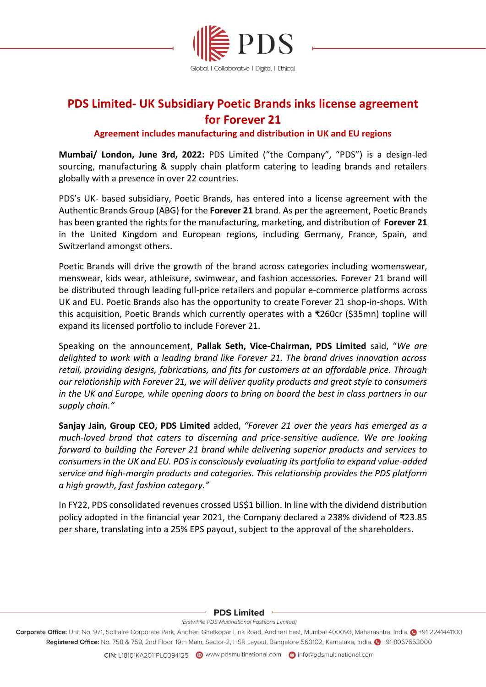

# **PDS Limited- UK Subsidiary Poetic Brands inks license agreement for Forever 21**

# **Agreement includes manufacturing and distribution in UK and EU regions**

**Mumbai/ London, June 3rd, 2022:** PDS Limited ("the Company", "PDS") is a design-led sourcing, manufacturing & supply chain platform catering to leading brands and retailers globally with a presence in over 22 countries.

PDS's UK- based subsidiary, Poetic Brands, has entered into a license agreement with the Authentic Brands Group (ABG) for the **Forever 21** brand. As per the agreement, Poetic Brands has been granted the rights for the manufacturing, marketing, and distribution of **Forever 21** in the United Kingdom and European regions, including Germany, France, Spain, and Switzerland amongst others.

Poetic Brands will drive the growth of the brand across categories including womenswear, menswear, kids wear, athleisure, swimwear, and fashion accessories. Forever 21 brand will be distributed through leading full-price retailers and popular e-commerce platforms across UK and EU. Poetic Brands also has the opportunity to create Forever 21 shop-in-shops. With this acquisition, Poetic Brands which currently operates with a ₹260cr (\$35mn) topline will expand its licensed portfolio to include Forever 21.

Speaking on the announcement, **Pallak Seth, Vice-Chairman, PDS Limited** said, "*We are delighted to work with a leading brand like Forever 21. The brand drives innovation across retail, providing designs, fabrications, and fits for customers at an affordable price. Through our relationship with Forever 21, we will deliver quality products and great style to consumers in the UK and Europe, while opening doors to bring on board the best in class partners in our supply chain."*

**Sanjay Jain, Group CEO, PDS Limited** added, *"Forever 21 over the years has emerged as a much-loved brand that caters to discerning and price-sensitive audience. We are looking forward to building the Forever 21 brand while delivering superior products and services to consumers in the UK and EU. PDS is consciously evaluating its portfolio to expand value-added service and high-margin products and categories. This relationship provides the PDS platform a high growth, fast fashion category."* 

In FY22, PDS consolidated revenues crossed US\$1 billion. In line with the dividend distribution policy adopted in the financial year 2021, the Company declared a 238% dividend of ₹23.85 per share, translating into a 25% EPS payout, subject to the approval of the shareholders.

### **PDS Limited**

#### (Erstwhile PDS Multinational Fashions Limited)

Corporate Office: Unit No. 971, Solitaire Corporate Park, Andheri Ghatkopar Link Road, Andheri East, Mumbai 400093, Maharashtra, India. @ +91 2241441100 Registered Office: No. 758 & 759, 2nd Floor, 19th Main, Sector-2, HSR Layout, Bangalore 560102, Karnataka, India. @ +91 8067653000